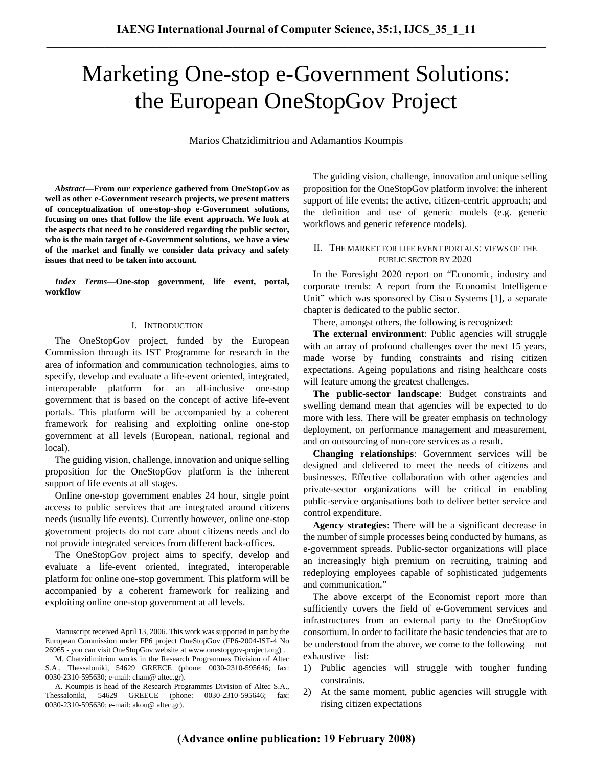# Marketing One-stop e-Government Solutions: the European OneStopGov Project

Marios Chatzidimitriou and Adamantios Koumpis

*Abstract***—From our experience gathered from OneStopGov as well as other e-Government research projects, we present matters of conceptualization of one-stop-shop e-Government solutions, focusing on ones that follow the life event approach. We look at the aspects that need to be considered regarding the public sector, who is the main target of e-Government solutions, we have a view of the market and finally we consider data privacy and safety issues that need to be taken into account.** 

*Index Terms***—One-stop government, life event, portal, workflow** 

#### I. INTRODUCTION

The OneStopGov project, funded by the European Commission through its IST Programme for research in the area of information and communication technologies, aims to specify, develop and evaluate a life-event oriented, integrated, interoperable platform for an all-inclusive one-stop government that is based on the concept of active life-event portals. This platform will be accompanied by a coherent framework for realising and exploiting online one-stop government at all levels (European, national, regional and local).

The guiding vision, challenge, innovation and unique selling proposition for the OneStopGov platform is the inherent support of life events at all stages.

Online one-stop government enables 24 hour, single point access to public services that are integrated around citizens needs (usually life events). Currently however, online one-stop government projects do not care about citizens needs and do not provide integrated services from different back-offices.

The OneStopGov project aims to specify, develop and evaluate a life-event oriented, integrated, interoperable platform for online one-stop government. This platform will be accompanied by a coherent framework for realizing and exploiting online one-stop government at all levels.

The guiding vision, challenge, innovation and unique selling proposition for the OneStopGov platform involve: the inherent support of life events; the active, citizen-centric approach; and the definition and use of generic models (e.g. generic workflows and generic reference models).

#### II. THE MARKET FOR LIFE EVENT PORTALS: VIEWS OF THE PUBLIC SECTOR BY 2020

In the Foresight 2020 report on "Economic, industry and corporate trends: A report from the Economist Intelligence Unit" which was sponsored by Cisco Systems [1], a separate chapter is dedicated to the public sector.

There, amongst others, the following is recognized:

**The external environment**: Public agencies will struggle with an array of profound challenges over the next 15 years, made worse by funding constraints and rising citizen expectations. Ageing populations and rising healthcare costs will feature among the greatest challenges.

**The public-sector landscape**: Budget constraints and swelling demand mean that agencies will be expected to do more with less. There will be greater emphasis on technology deployment, on performance management and measurement, and on outsourcing of non-core services as a result.

**Changing relationships**: Government services will be designed and delivered to meet the needs of citizens and businesses. Effective collaboration with other agencies and private-sector organizations will be critical in enabling public-service organisations both to deliver better service and control expenditure.

**Agency strategies**: There will be a significant decrease in the number of simple processes being conducted by humans, as e-government spreads. Public-sector organizations will place an increasingly high premium on recruiting, training and redeploying employees capable of sophisticated judgements and communication."

The above excerpt of the Economist report more than sufficiently covers the field of e-Government services and infrastructures from an external party to the OneStopGov consortium. In order to facilitate the basic tendencies that are to be understood from the above, we come to the following – not exhaustive – list:

- 1) Public agencies will struggle with tougher funding constraints.
- 2) At the same moment, public agencies will struggle with rising citizen expectations

Manuscript received April 13, 2006. This work was supported in part by the European Commission under FP6 project OneStopGov (FP6-2004-IST-4 No 26965 - you can visit OneStopGov website at www.onestopgov-project.org) .

M. Chatzidimitriou works in the Research Programmes Division of Altec S.A., Thessaloniki, 54629 GREECE (phone: 0030-2310-595646; fax: 0030-2310-595630; e-mail: cham@ altec.gr).

A. Koumpis is head of the Research Programmes Division of Altec S.A., Thessaloniki, 54629 GREECE (phone: 0030-2310-595646; fax: 0030-2310-595630; e-mail: akou@ altec.gr).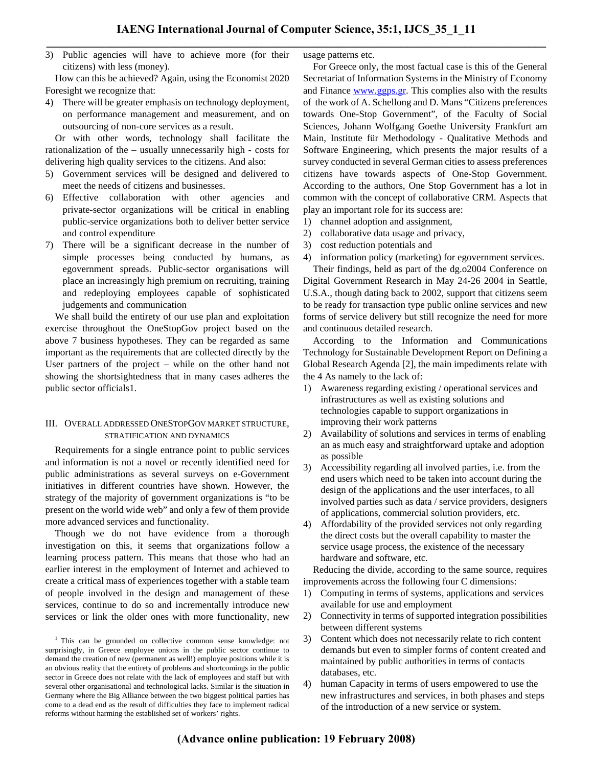3) Public agencies will have to achieve more (for their citizens) with less (money).

How can this be achieved? Again, using the Economist 2020 Foresight we recognize that:

4) There will be greater emphasis on technology deployment, on performance management and measurement, and on outsourcing of non-core services as a result.

Or with other words, technology shall facilitate the rationalization of the – usually unnecessarily high - costs for delivering high quality services to the citizens. And also:

- 5) Government services will be designed and delivered to meet the needs of citizens and businesses.
- 6) Effective collaboration with other agencies and private-sector organizations will be critical in enabling public-service organizations both to deliver better service and control expenditure
- 7) There will be a significant decrease in the number of simple processes being conducted by humans, as egovernment spreads. Public-sector organisations will place an increasingly high premium on recruiting, training and redeploying employees capable of sophisticated judgements and communication

We shall build the entirety of our use plan and exploitation exercise throughout the OneStopGov project based on the above 7 business hypotheses. They can be regarded as same important as the requirements that are collected directly by the User partners of the project – while on the other hand not showing the shortsightedness that in many cases adheres the public sector officials1.

#### III. OVERALL ADDRESSED ONESTOPGOV MARKET STRUCTURE, STRATIFICATION AND DYNAMICS

Requirements for a single entrance point to public services and information is not a novel or recently identified need for public administrations as several surveys on e-Government initiatives in different countries have shown. However, the strategy of the majority of government organizations is "to be present on the world wide web" and only a few of them provide more advanced services and functionality.

Though we do not have evidence from a thorough investigation on this, it seems that organizations follow a learning process pattern. This means that those who had an earlier interest in the employment of Internet and achieved to create a critical mass of experiences together with a stable team of people involved in the design and management of these services, continue to do so and incrementally introduce new services or link the older ones with more functionality, new usage patterns etc.

For Greece only, the most factual case is this of the General Secretariat of Information Systems in the Ministry of Economy and Finance www.ggps.gr. This complies also with the results of the work of A. Schellong and D. Mans "Citizens preferences towards One-Stop Government", of the Faculty of Social Sciences, Johann Wolfgang Goethe University Frankfurt am Main, Institute für Methodology - Qualitative Methods and Software Engineering, which presents the major results of a survey conducted in several German cities to assess preferences citizens have towards aspects of One-Stop Government. According to the authors, One Stop Government has a lot in common with the concept of collaborative CRM. Aspects that play an important role for its success are:

- 1) channel adoption and assignment,
- 2) collaborative data usage and privacy,
- 3) cost reduction potentials and
- 4) information policy (marketing) for egovernment services.

Their findings, held as part of the dg.o2004 Conference on Digital Government Research in May 24-26 2004 in Seattle, U.S.A., though dating back to 2002, support that citizens seem to be ready for transaction type public online services and new forms of service delivery but still recognize the need for more and continuous detailed research.

According to the Information and Communications Technology for Sustainable Development Report on Defining a Global Research Agenda [2], the main impediments relate with the 4 As namely to the lack of:

- 1) Awareness regarding existing / operational services and infrastructures as well as existing solutions and technologies capable to support organizations in improving their work patterns
- 2) Availability of solutions and services in terms of enabling an as much easy and straightforward uptake and adoption as possible
- 3) Accessibility regarding all involved parties, i.e. from the end users which need to be taken into account during the design of the applications and the user interfaces, to all involved parties such as data / service providers, designers of applications, commercial solution providers, etc.
- 4) Affordability of the provided services not only regarding the direct costs but the overall capability to master the service usage process, the existence of the necessary hardware and software, etc.

Reducing the divide, according to the same source, requires improvements across the following four C dimensions:

- 1) Computing in terms of systems, applications and services available for use and employment
- 2) Connectivity in terms of supported integration possibilities between different systems
- 3) Content which does not necessarily relate to rich content demands but even to simpler forms of content created and maintained by public authorities in terms of contacts databases, etc.
- 4) human Capacity in terms of users empowered to use the new infrastructures and services, in both phases and steps of the introduction of a new service or system.

<sup>&</sup>lt;sup>1</sup> This can be grounded on collective common sense knowledge: not surprisingly, in Greece employee unions in the public sector continue to demand the creation of new (permanent as well!) employee positions while it is an obvious reality that the entirety of problems and shortcomings in the public sector in Greece does not relate with the lack of employees and staff but with several other organisational and technological lacks. Similar is the situation in Germany where the Big Alliance between the two biggest political parties has come to a dead end as the result of difficulties they face to implement radical reforms without harming the established set of workers' rights.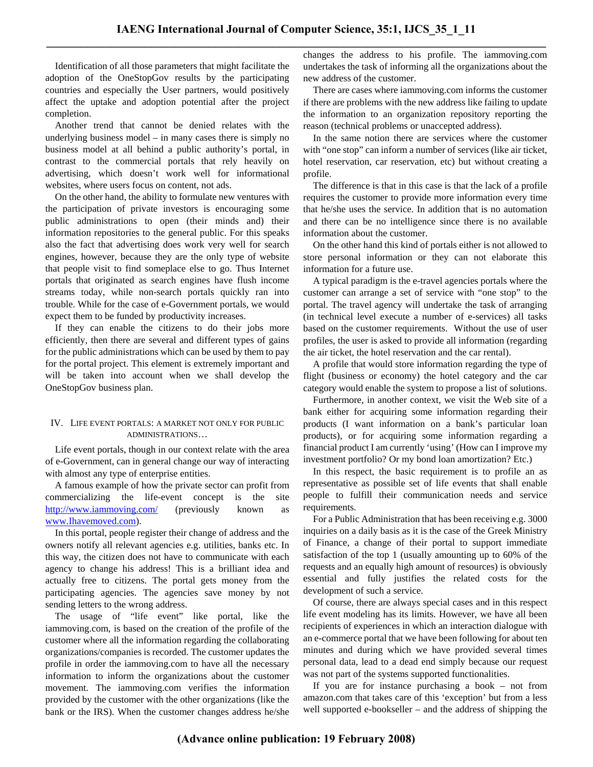Identification of all those parameters that might facilitate the adoption of the OneStopGov results by the participating countries and especially the User partners, would positively affect the uptake and adoption potential after the project completion.

Another trend that cannot be denied relates with the underlying business model – in many cases there is simply no business model at all behind a public authority's portal, in contrast to the commercial portals that rely heavily on advertising, which doesn't work well for informational websites, where users focus on content, not ads.

On the other hand, the ability to formulate new ventures with the participation of private investors is encouraging some public administrations to open (their minds and) their information repositories to the general public. For this speaks also the fact that advertising does work very well for search engines, however, because they are the only type of website that people visit to find someplace else to go. Thus Internet portals that originated as search engines have flush income streams today, while non-search portals quickly ran into trouble. While for the case of e-Government portals, we would expect them to be funded by productivity increases.

If they can enable the citizens to do their jobs more efficiently, then there are several and different types of gains for the public administrations which can be used by them to pay for the portal project. This element is extremely important and will be taken into account when we shall develop the OneStopGov business plan.

### IV. LIFE EVENT PORTALS: A MARKET NOT ONLY FOR PUBLIC ADMINISTRATIONS…

Life event portals, though in our context relate with the area of e-Government, can in general change our way of interacting with almost any type of enterprise entities.

A famous example of how the private sector can profit from commercializing the life-event concept is the site http://www.iammoving.com/ (previously known as www.Ihavemoved.com).

In this portal, people register their change of address and the owners notify all relevant agencies e.g. utilities, banks etc. In this way, the citizen does not have to communicate with each agency to change his address! This is a brilliant idea and actually free to citizens. The portal gets money from the participating agencies. The agencies save money by not sending letters to the wrong address.

The usage of "life event" like portal, like the iammoving.com, is based on the creation of the profile of the customer where all the information regarding the collaborating organizations/companies is recorded. The customer updates the profile in order the iammoving.com to have all the necessary information to inform the organizations about the customer movement. The iammoving.com verifies the information provided by the customer with the other organizations (like the bank or the IRS). When the customer changes address he/she

changes the address to his profile. The iammoving.com undertakes the task of informing all the organizations about the new address of the customer.

There are cases where iammoving.com informs the customer if there are problems with the new address like failing to update the information to an organization repository reporting the reason (technical problems or unaccepted address).

In the same notion there are services where the customer with "one stop" can inform a number of services (like air ticket, hotel reservation, car reservation, etc) but without creating a profile.

The difference is that in this case is that the lack of a profile requires the customer to provide more information every time that he/she uses the service. In addition that is no automation and there can be no intelligence since there is no available information about the customer.

On the other hand this kind of portals either is not allowed to store personal information or they can not elaborate this information for a future use.

A typical paradigm is the e-travel agencies portals where the customer can arrange a set of service with "one stop" to the portal. The travel agency will undertake the task of arranging (in technical level execute a number of e-services) all tasks based on the customer requirements. Without the use of user profiles, the user is asked to provide all information (regarding the air ticket, the hotel reservation and the car rental).

A profile that would store information regarding the type of flight (business or economy) the hotel category and the car category would enable the system to propose a list of solutions.

Furthermore, in another context, we visit the Web site of a bank either for acquiring some information regarding their products (I want information on a bank's particular loan products), or for acquiring some information regarding a financial product I am currently 'using' (How can I improve my investment portfolio? Or my bond loan amortization? Etc.)

In this respect, the basic requirement is to profile an as representative as possible set of life events that shall enable people to fulfill their communication needs and service requirements.

For a Public Administration that has been receiving e.g. 3000 inquiries on a daily basis as it is the case of the Greek Ministry of Finance, a change of their portal to support immediate satisfaction of the top 1 (usually amounting up to 60% of the requests and an equally high amount of resources) is obviously essential and fully justifies the related costs for the development of such a service.

Of course, there are always special cases and in this respect life event modeling has its limits. However, we have all been recipients of experiences in which an interaction dialogue with an e-commerce portal that we have been following for about ten minutes and during which we have provided several times personal data, lead to a dead end simply because our request was not part of the systems supported functionalities.

If you are for instance purchasing a book – not from amazon.com that takes care of this 'exception' but from a less well supported e-bookseller – and the address of shipping the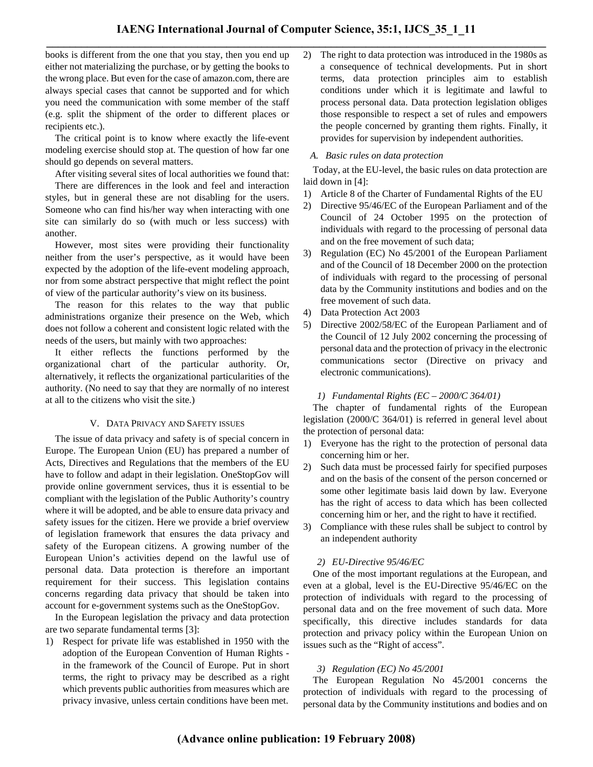books is different from the one that you stay, then you end up either not materializing the purchase, or by getting the books to the wrong place. But even for the case of amazon.com, there are always special cases that cannot be supported and for which you need the communication with some member of the staff (e.g. split the shipment of the order to different places or recipients etc.).

The critical point is to know where exactly the life-event modeling exercise should stop at. The question of how far one should go depends on several matters.

After visiting several sites of local authorities we found that: There are differences in the look and feel and interaction styles, but in general these are not disabling for the users. Someone who can find his/her way when interacting with one site can similarly do so (with much or less success) with another.

However, most sites were providing their functionality neither from the user's perspective, as it would have been expected by the adoption of the life-event modeling approach, nor from some abstract perspective that might reflect the point of view of the particular authority's view on its business.

The reason for this relates to the way that public administrations organize their presence on the Web, which does not follow a coherent and consistent logic related with the needs of the users, but mainly with two approaches:

It either reflects the functions performed by the organizational chart of the particular authority. Or, alternatively, it reflects the organizational particularities of the authority. (No need to say that they are normally of no interest at all to the citizens who visit the site.)

## V. DATA PRIVACY AND SAFETY ISSUES

The issue of data privacy and safety is of special concern in Europe. The European Union (EU) has prepared a number of Acts, Directives and Regulations that the members of the EU have to follow and adapt in their legislation. OneStopGov will provide online government services, thus it is essential to be compliant with the legislation of the Public Authority's country where it will be adopted, and be able to ensure data privacy and safety issues for the citizen. Here we provide a brief overview of legislation framework that ensures the data privacy and safety of the European citizens. A growing number of the European Union's activities depend on the lawful use of personal data. Data protection is therefore an important requirement for their success. This legislation contains concerns regarding data privacy that should be taken into account for e-government systems such as the OneStopGov.

In the European legislation the privacy and data protection are two separate fundamental terms [3]:

1) Respect for private life was established in 1950 with the adoption of the European Convention of Human Rights in the framework of the Council of Europe. Put in short terms, the right to privacy may be described as a right which prevents public authorities from measures which are privacy invasive, unless certain conditions have been met.

2) The right to data protection was introduced in the 1980s as a consequence of technical developments. Put in short terms, data protection principles aim to establish conditions under which it is legitimate and lawful to process personal data. Data protection legislation obliges those responsible to respect a set of rules and empowers the people concerned by granting them rights. Finally, it provides for supervision by independent authorities.

## *A. Basic rules on data protection*

Today, at the EU-level, the basic rules on data protection are laid down in [4]:

- 1) Article 8 of the Charter of Fundamental Rights of the EU
- 2) Directive 95/46/EC of the European Parliament and of the Council of 24 October 1995 on the protection of individuals with regard to the processing of personal data and on the free movement of such data;
- 3) Regulation (EC) No 45/2001 of the European Parliament and of the Council of 18 December 2000 on the protection of individuals with regard to the processing of personal data by the Community institutions and bodies and on the free movement of such data.
- 4) Data Protection Act 2003
- 5) Directive 2002/58/EC of the European Parliament and of the Council of 12 July 2002 concerning the processing of personal data and the protection of privacy in the electronic communications sector (Directive on privacy and electronic communications).

# *1) Fundamental Rights (EC – 2000/C 364/01)*

The chapter of fundamental rights of the European legislation (2000/C 364/01) is referred in general level about the protection of personal data:

- 1) Everyone has the right to the protection of personal data concerning him or her.
- 2) Such data must be processed fairly for specified purposes and on the basis of the consent of the person concerned or some other legitimate basis laid down by law. Everyone has the right of access to data which has been collected concerning him or her, and the right to have it rectified.
- 3) Compliance with these rules shall be subject to control by an independent authority

# *2) EU-Directive 95/46/EC*

One of the most important regulations at the European, and even at a global, level is the EU-Directive 95/46/EC on the protection of individuals with regard to the processing of personal data and on the free movement of such data. More specifically, this directive includes standards for data protection and privacy policy within the European Union on issues such as the "Right of access".

# *3) Regulation (EC) No 45/2001*

The European Regulation No 45/2001 concerns the protection of individuals with regard to the processing of personal data by the Community institutions and bodies and on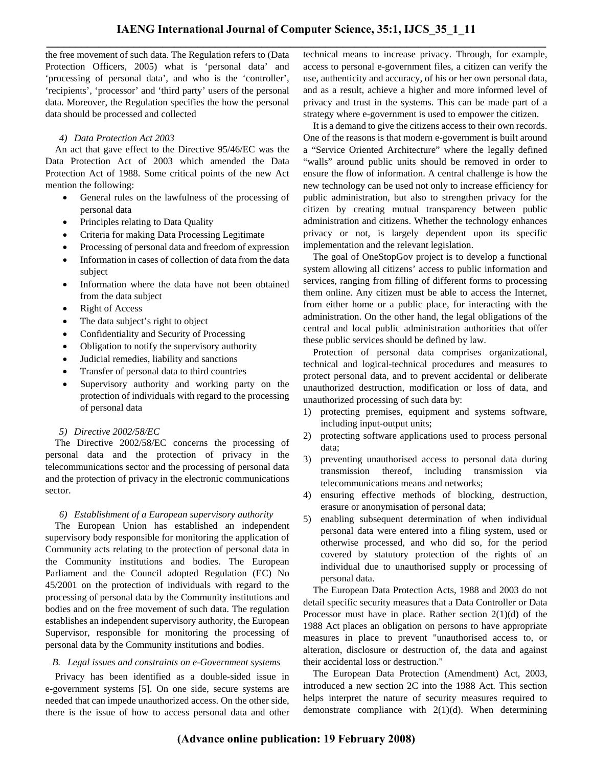the free movement of such data. The Regulation refers to (Data Protection Officers, 2005) what is 'personal data' and 'processing of personal data', and who is the 'controller', 'recipients', 'processor' and 'third party' users of the personal data. Moreover, the Regulation specifies the how the personal data should be processed and collected

## *4) Data Protection Act 2003*

An act that gave effect to the Directive 95/46/EC was the Data Protection Act of 2003 which amended the Data Protection Act of 1988. Some critical points of the new Act mention the following:

- General rules on the lawfulness of the processing of personal data
- Principles relating to Data Quality
- Criteria for making Data Processing Legitimate
- Processing of personal data and freedom of expression
- Information in cases of collection of data from the data subject
- Information where the data have not been obtained from the data subject
- **Right of Access**
- The data subject's right to object
- Confidentiality and Security of Processing
- Obligation to notify the supervisory authority
- Judicial remedies, liability and sanctions
- Transfer of personal data to third countries
- Supervisory authority and working party on the protection of individuals with regard to the processing of personal data
- *5) Directive 2002/58/EC*

The Directive 2002/58/EC concerns the processing of personal data and the protection of privacy in the telecommunications sector and the processing of personal data and the protection of privacy in the electronic communications sector.

## *6) Establishment of a European supervisory authority*

The European Union has established an independent supervisory body responsible for monitoring the application of Community acts relating to the protection of personal data in the Community institutions and bodies. The European Parliament and the Council adopted Regulation (EC) No 45/2001 on the protection of individuals with regard to the processing of personal data by the Community institutions and bodies and on the free movement of such data. The regulation establishes an independent supervisory authority, the European Supervisor, responsible for monitoring the processing of personal data by the Community institutions and bodies.

# *B. Legal issues and constraints on e-Government systems*

Privacy has been identified as a double-sided issue in e-government systems [5]. On one side, secure systems are needed that can impede unauthorized access. On the other side, there is the issue of how to access personal data and other technical means to increase privacy. Through, for example, access to personal e-government files, a citizen can verify the use, authenticity and accuracy, of his or her own personal data, and as a result, achieve a higher and more informed level of privacy and trust in the systems. This can be made part of a strategy where e-government is used to empower the citizen.

It is a demand to give the citizens access to their own records. One of the reasons is that modern e-government is built around a "Service Oriented Architecture" where the legally defined "walls" around public units should be removed in order to ensure the flow of information. A central challenge is how the new technology can be used not only to increase efficiency for public administration, but also to strengthen privacy for the citizen by creating mutual transparency between public administration and citizens. Whether the technology enhances privacy or not, is largely dependent upon its specific implementation and the relevant legislation.

The goal of OneStopGov project is to develop a functional system allowing all citizens' access to public information and services, ranging from filling of different forms to processing them online. Any citizen must be able to access the Internet, from either home or a public place, for interacting with the administration. On the other hand, the legal obligations of the central and local public administration authorities that offer these public services should be defined by law.

Protection of personal data comprises organizational, technical and logical-technical procedures and measures to protect personal data, and to prevent accidental or deliberate unauthorized destruction, modification or loss of data, and unauthorized processing of such data by:

- 1) protecting premises, equipment and systems software, including input-output units;
- 2) protecting software applications used to process personal data;
- 3) preventing unauthorised access to personal data during transmission thereof, including transmission via telecommunications means and networks;
- 4) ensuring effective methods of blocking, destruction, erasure or anonymisation of personal data;
- 5) enabling subsequent determination of when individual personal data were entered into a filing system, used or otherwise processed, and who did so, for the period covered by statutory protection of the rights of an individual due to unauthorised supply or processing of personal data.

The European Data Protection Acts, 1988 and 2003 do not detail specific security measures that a Data Controller or Data Processor must have in place. Rather section 2(1)(d) of the 1988 Act places an obligation on persons to have appropriate measures in place to prevent "unauthorised access to, or alteration, disclosure or destruction of, the data and against their accidental loss or destruction."

The European Data Protection (Amendment) Act, 2003, introduced a new section 2C into the 1988 Act. This section helps interpret the nature of security measures required to demonstrate compliance with  $2(1)(d)$ . When determining